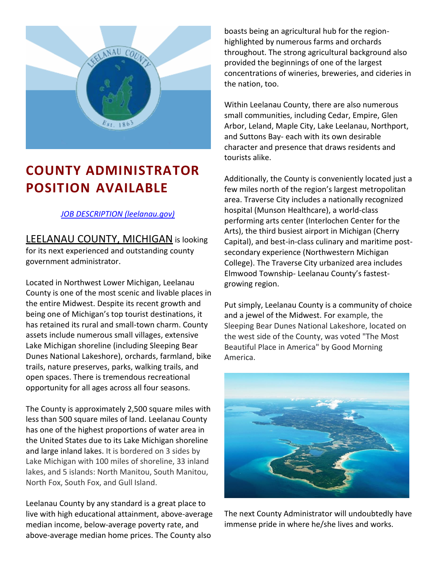

# **COUNTY ADMINISTRATOR POSITION AVAILABLE**

# *[JOB DESCRIPTION \(leelanau.gov\)](https://www.leelanau.gov/downloads/jd_admin_administrator_060222.pdf)*

**LEELANAU COUNTY, MICHIGAN is looking** for its next experienced and outstanding county government administrator.

Located in Northwest Lower Michigan, Leelanau County is one of the most scenic and livable places in the entire Midwest. Despite its recent growth and being one of Michigan's top tourist destinations, it has retained its rural and small-town charm. County assets include numerous small villages, extensive Lake Michigan shoreline (including Sleeping Bear Dunes National Lakeshore), orchards, farmland, bike trails, nature preserves, parks, walking trails, and open spaces. There is tremendous recreational opportunity for all ages across all four seasons.

The County is approximately 2,500 square miles with less than 500 square miles of land. Leelanau County has one of the highest proportions of water area in the United States due to its Lake Michigan shoreline and large inland lakes. It is bordered on 3 sides by Lake Michigan with 100 miles of shoreline, 33 inland lakes, and 5 islands: North Manitou, South Manitou, North Fox, South Fox, and Gull Island.

Leelanau County by any standard is a great place to live with high educational attainment, above-average median income, below-average poverty rate, and above-average median home prices. The County also

boasts being an agricultural hub for the regionhighlighted by numerous farms and orchards throughout. The strong agricultural background also provided the beginnings of one of the largest concentrations of wineries, breweries, and cideries in the nation, too.

Within Leelanau County, there are also numerous small communities, including Cedar, Empire, Glen Arbor, Leland, Maple City, Lake Leelanau, Northport, and Suttons Bay- each with its own desirable character and presence that draws residents and tourists alike.

Additionally, the County is conveniently located just a few miles north of the region's largest metropolitan area. Traverse City includes a nationally recognized hospital (Munson Healthcare), a world-class performing arts center (Interlochen Center for the Arts), the third busiest airport in Michigan (Cherry Capital), and best-in-class culinary and maritime postsecondary experience (Northwestern Michigan College). The Traverse City urbanized area includes Elmwood Township- Leelanau County's fastestgrowing region.

Put simply, Leelanau County is a community of choice and a jewel of the Midwest. For example, the Sleeping Bear Dunes National Lakeshore, located on the west side of the County, was voted "The Most Beautiful Place in America" by Good Morning America.



The next County Administrator will undoubtedly have immense pride in where he/she lives and works.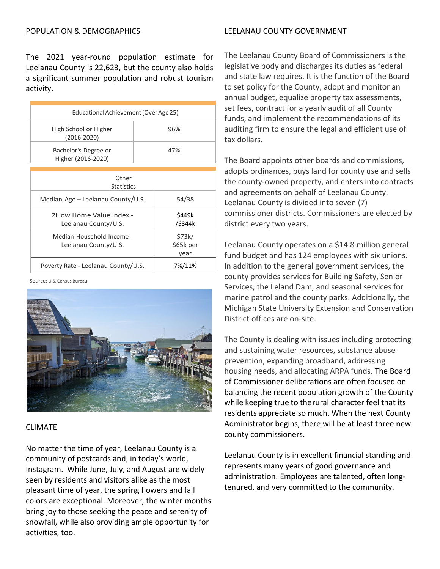#### LEELANAU COUNTY GOVERNMENT

The 2021 year-round population estimate for Leelanau County is 22,623, but the county also holds a significant summer population and robust tourism activity.

| Educational Achievement (Over Age 25)             |     |                             |
|---------------------------------------------------|-----|-----------------------------|
| High School or Higher<br>$(2016 - 2020)$          | 96% |                             |
| Bachelor's Degree or<br>Higher (2016-2020)        | 47% |                             |
|                                                   |     |                             |
| Other<br><b>Statistics</b>                        |     |                             |
| Median Age – Leelanau County/U.S.                 |     | 54/38                       |
| Zillow Home Value Index -<br>Leelanau County/U.S. |     | \$449k<br>/\$344k           |
| Median Household Income -<br>Leelanau County/U.S. |     | \$73k/<br>\$65k per<br>year |
| Poverty Rate - Leelanau County/U.S.               |     | 7%/11%                      |

Source: U.S. Census Bureau



**CLIMATE** 

No matter the time of year, Leelanau County is a community of postcards and, in today's world, Instagram. While June, July, and August are widely seen by residents and visitors alike as the most pleasant time of year, the spring flowers and fall colors are exceptional. Moreover, the winter months bring joy to those seeking the peace and serenity of snowfall, while also providing ample opportunity for activities, too.

The Leelanau County Board of Commissioners is the legislative body and discharges its duties as federal and state law requires. It is the function of the Board to set policy for the County, adopt and monitor an annual budget, equalize property tax assessments, set fees, contract for a yearly audit of all County funds, and implement the recommendations of its auditing firm to ensure the legal and efficient use of tax dollars.

The Board appoints other boards and commissions, adopts ordinances, buys land for county use and sells the county-owned property, and enters into contracts and agreements on behalf of Leelanau County. Leelanau County is divided into seven (7) commissioner districts. Commissioners are elected by district every two years.

Leelanau County operates on a \$14.8 million general fund budget and has 124 employees with six unions. In addition to the general government services, the county provides services for Building Safety, Senior Services, the Leland Dam, and seasonal services for marine patrol and the county parks. Additionally, the Michigan State University Extension and Conservation District offices are on-site.

The County is dealing with issues including protecting and sustaining water resources, substance abuse prevention, expanding broadband, addressing housing needs, and allocating ARPA funds. The Board of Commissioner deliberations are often focused on balancing the recent population growth of the County while keeping true to therural character feel that its residents appreciate so much. When the next County Administrator begins, there will be at least three new county commissioners.

Leelanau County is in excellent financial standing and represents many years of good governance and administration. Employees are talented, often longtenured, and very committed to the community.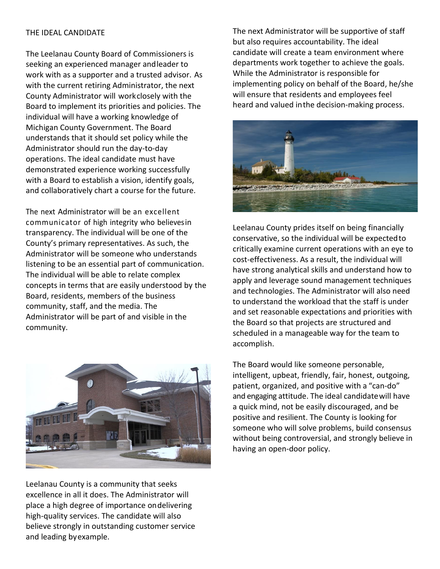#### THE IDEAL CANDIDATE

The Leelanau County Board of Commissioners is seeking an experienced manager andleader to work with as a supporter and a trusted advisor. As with the current retiring Administrator, the next County Administrator will workclosely with the Board to implement its priorities and policies. The individual will have a working knowledge of Michigan County Government. The Board understands that it should set policy while the Administrator should run the day-to-day operations. The ideal candidate must have demonstrated experience working successfully with a Board to establish a vision, identify goals, and collaboratively chart a course for the future.

The next Administrator will be an excellent communicator of high integrity who believesin transparency. The individual will be one of the County's primary representatives. As such, the Administrator will be someone who understands listening to be an essential part of communication. The individual will be able to relate complex concepts in terms that are easily understood by the Board, residents, members of the business community, staff, and the media. The Administrator will be part of and visible in the community.



Leelanau County is a community that seeks excellence in all it does. The Administrator will place a high degree of importance ondelivering high-quality services. The candidate will also believe strongly in outstanding customer service and leading byexample.

The next Administrator will be supportive of staff but also requires accountability. The ideal candidate will create a team environment where departments work together to achieve the goals. While the Administrator is responsible for implementing policy on behalf of the Board, he/she will ensure that residents and employees feel heard and valued inthe decision-making process.



Leelanau County prides itself on being financially conservative, so the individual will be expectedto critically examine current operations with an eye to cost-effectiveness. As a result, the individual will have strong analytical skills and understand how to apply and leverage sound management techniques and technologies. The Administrator will also need to understand the workload that the staff is under and set reasonable expectations and priorities with the Board so that projects are structured and scheduled in a manageable way for the team to accomplish.

The Board would like someone personable, intelligent, upbeat, friendly, fair, honest, outgoing, patient, organized, and positive with a "can-do" and engaging attitude. The ideal candidatewill have a quick mind, not be easily discouraged, and be positive and resilient. The County is looking for someone who will solve problems, build consensus without being controversial, and strongly believe in having an open-door policy.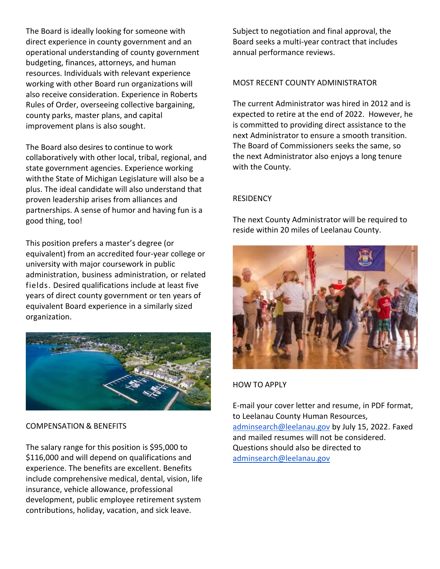The Board is ideally looking for someone with direct experience in county government and an operational understanding of county government budgeting, finances, attorneys, and human resources. Individuals with relevant experience working with other Board run organizations will also receive consideration. Experience in Roberts Rules of Order, overseeing collective bargaining, county parks, master plans, and capital improvement plans is also sought.

The Board also desires to continue to work collaboratively with other local, tribal, regional, and state government agencies. Experience working withthe State of Michigan Legislature will also be a plus. The ideal candidate will also understand that proven leadership arises from alliances and partnerships. A sense of humor and having fun is a good thing, too!

This position prefers a master's degree (or equivalent) from an accredited four-year college or university with major coursework in public administration, business administration, or related fields. Desired qualifications include at least five years of direct county government or ten years of equivalent Board experience in a similarly sized organization.



COMPENSATION & BENEFITS

The salary range for this position is \$95,000 to \$116,000 and will depend on qualifications and experience. The benefits are excellent. Benefits include comprehensive medical, dental, vision, life insurance, vehicle allowance, professional development, public employee retirement system contributions, holiday, vacation, and sick leave.

Subject to negotiation and final approval, the Board seeks a multi-year contract that includes annual performance reviews.

# MOST RECENT COUNTY ADMINISTRATOR

The current Administrator was hired in 2012 and is expected to retire at the end of 2022. However, he is committed to providing direct assistance to the next Administrator to ensure a smooth transition. The Board of Commissioners seeks the same, so the next Administrator also enjoys a long tenure with the County.

## **RESIDENCY**

The next County Administrator will be required to reside within 20 miles of Leelanau County.



## HOW TO APPLY

E-mail your cover letter and resume, in PDF format, to Leelanau County Human Resources, [adminsearch@leelanau.gov](mailto:adminsearch@leelanau.gov) by July 15, 2022. Faxed and mailed resumes will not be considered. Questions should also be directed to [adminsearch@leelanau.gov](mailto:adminsearch@leelanau.gov)